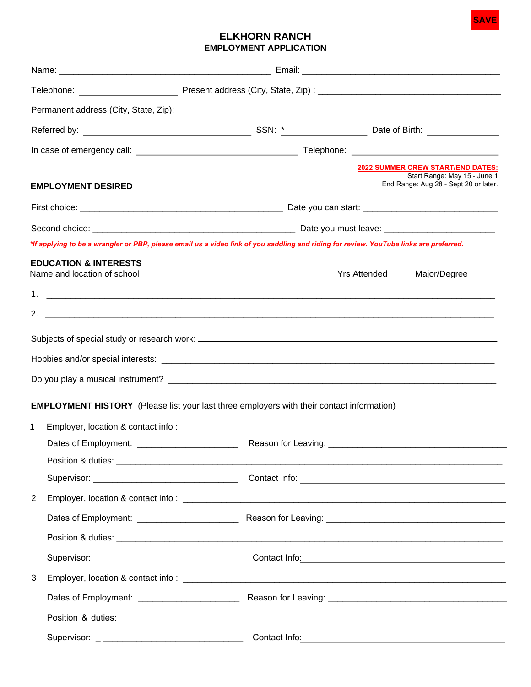

## **ELKHORN RANCH EMPLOYMENT APPLICATION**

|             |                                                                 |                                                                                                                                        |                     | 2022 SUMMER CREW START/END DATES:<br>Start Range: May 15 - June 1                                                                                                                                                                    |  |
|-------------|-----------------------------------------------------------------|----------------------------------------------------------------------------------------------------------------------------------------|---------------------|--------------------------------------------------------------------------------------------------------------------------------------------------------------------------------------------------------------------------------------|--|
|             | <b>EMPLOYMENT DESIRED</b>                                       |                                                                                                                                        |                     | End Range: Aug 28 - Sept 20 or later.                                                                                                                                                                                                |  |
|             |                                                                 |                                                                                                                                        |                     |                                                                                                                                                                                                                                      |  |
|             |                                                                 |                                                                                                                                        |                     |                                                                                                                                                                                                                                      |  |
|             |                                                                 | *If applying to be a wrangler or PBP, please email us a video link of you saddling and riding for review. YouTube links are preferred. |                     |                                                                                                                                                                                                                                      |  |
|             | <b>EDUCATION &amp; INTERESTS</b><br>Name and location of school |                                                                                                                                        | <b>Yrs Attended</b> | Major/Degree                                                                                                                                                                                                                         |  |
|             |                                                                 |                                                                                                                                        |                     |                                                                                                                                                                                                                                      |  |
|             |                                                                 |                                                                                                                                        |                     |                                                                                                                                                                                                                                      |  |
|             |                                                                 |                                                                                                                                        |                     |                                                                                                                                                                                                                                      |  |
|             |                                                                 |                                                                                                                                        |                     |                                                                                                                                                                                                                                      |  |
|             |                                                                 |                                                                                                                                        |                     |                                                                                                                                                                                                                                      |  |
|             |                                                                 |                                                                                                                                        |                     |                                                                                                                                                                                                                                      |  |
|             |                                                                 | <b>EMPLOYMENT HISTORY</b> (Please list your last three employers with their contact information)                                       |                     |                                                                                                                                                                                                                                      |  |
| $\mathbf 1$ |                                                                 |                                                                                                                                        |                     |                                                                                                                                                                                                                                      |  |
|             |                                                                 |                                                                                                                                        |                     |                                                                                                                                                                                                                                      |  |
|             |                                                                 |                                                                                                                                        |                     |                                                                                                                                                                                                                                      |  |
|             |                                                                 |                                                                                                                                        |                     |                                                                                                                                                                                                                                      |  |
| 2           |                                                                 |                                                                                                                                        |                     |                                                                                                                                                                                                                                      |  |
|             |                                                                 |                                                                                                                                        |                     |                                                                                                                                                                                                                                      |  |
|             |                                                                 |                                                                                                                                        |                     |                                                                                                                                                                                                                                      |  |
|             |                                                                 |                                                                                                                                        |                     |                                                                                                                                                                                                                                      |  |
| 3           |                                                                 |                                                                                                                                        |                     |                                                                                                                                                                                                                                      |  |
|             |                                                                 |                                                                                                                                        |                     |                                                                                                                                                                                                                                      |  |
|             |                                                                 |                                                                                                                                        |                     |                                                                                                                                                                                                                                      |  |
|             |                                                                 |                                                                                                                                        |                     | Contact Info: <u>contact Information and the set of the set of the set of the set of the set of the set of the set of the set of the set of the set of the set of the set of the set of the set of the set of the set of the set</u> |  |